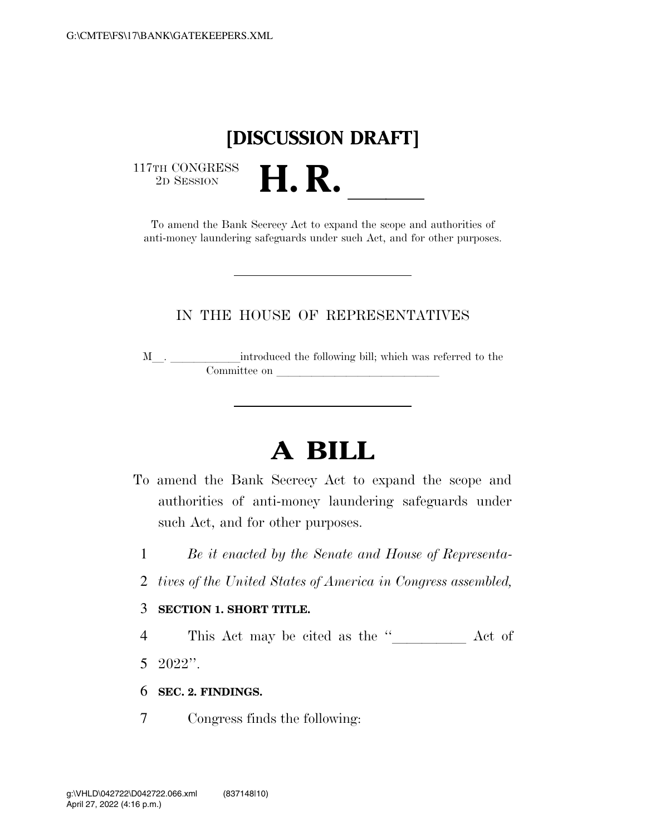# **[DISCUSSION DRAFT]**

 $\begin{array}{c} \text{117TH CONGRESS} \\ \text{2D SESION} \end{array}$ 

TH CONGRESS<br>
2D SESSION<br>
To amend the Bank Secrecy Act to expand the scope and authorities of anti-money laundering safeguards under such Act, and for other purposes.

# IN THE HOUSE OF REPRESENTATIVES

 $\texttt{M}\_\_\_\_\_\_\_\_\_\_\$  introduced the following bill; which was referred to the Committee on **lateralllance** on **laterally contained** 

# **A BILL**

- To amend the Bank Secrecy Act to expand the scope and authorities of anti-money laundering safeguards under such Act, and for other purposes.
	- 1 *Be it enacted by the Senate and House of Representa-*
- 2 *tives of the United States of America in Congress assembled,*

#### 3 **SECTION 1. SHORT TITLE.**

4 This Act may be cited as the "\_\_\_\_\_\_\_\_\_\_\_ Act of 5 2022''.

- 6 **SEC. 2. FINDINGS.**
- 7 Congress finds the following: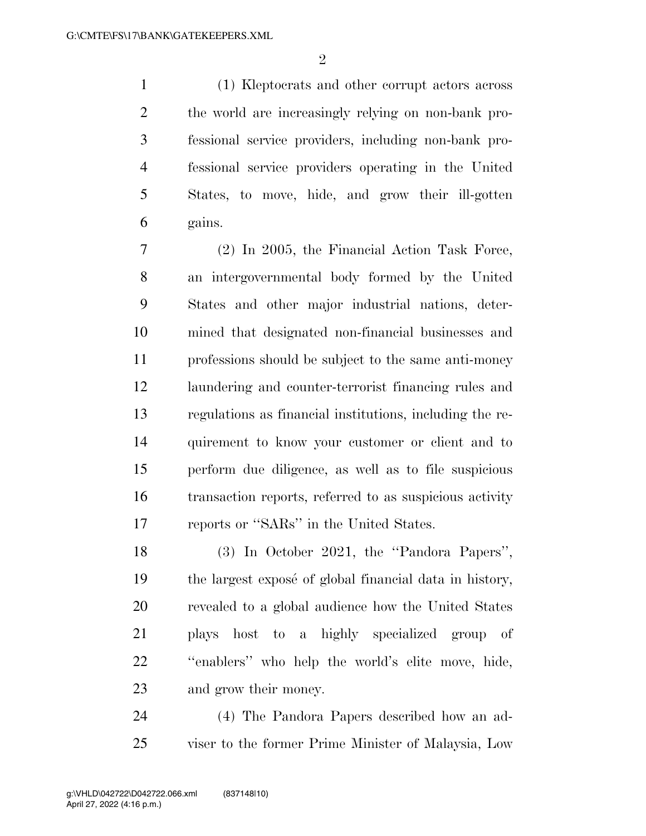(1) Kleptocrats and other corrupt actors across the world are increasingly relying on non-bank pro- fessional service providers, including non-bank pro- fessional service providers operating in the United States, to move, hide, and grow their ill-gotten gains.

 (2) In 2005, the Financial Action Task Force, an intergovernmental body formed by the United States and other major industrial nations, deter- mined that designated non-financial businesses and professions should be subject to the same anti-money laundering and counter-terrorist financing rules and regulations as financial institutions, including the re- quirement to know your customer or client and to perform due diligence, as well as to file suspicious transaction reports, referred to as suspicious activity reports or ''SARs'' in the United States.

 (3) In October 2021, the ''Pandora Papers'', 19 the largest expose of global financial data in history, revealed to a global audience how the United States plays host to a highly specialized group of ''enablers'' who help the world's elite move, hide, and grow their money.

 (4) The Pandora Papers described how an ad-viser to the former Prime Minister of Malaysia, Low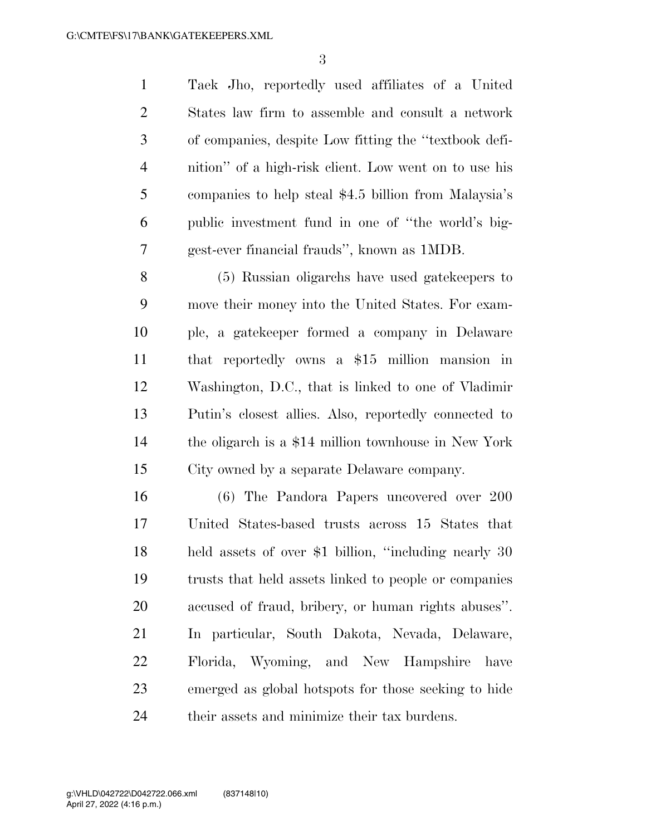Taek Jho, reportedly used affiliates of a United States law firm to assemble and consult a network of companies, despite Low fitting the ''textbook defi- nition'' of a high-risk client. Low went on to use his companies to help steal \$4.5 billion from Malaysia's public investment fund in one of ''the world's big-gest-ever financial frauds'', known as 1MDB.

 (5) Russian oligarchs have used gatekeepers to move their money into the United States. For exam- ple, a gatekeeper formed a company in Delaware that reportedly owns a \$15 million mansion in Washington, D.C., that is linked to one of Vladimir Putin's closest allies. Also, reportedly connected to the oligarch is a \$14 million townhouse in New York City owned by a separate Delaware company.

 (6) The Pandora Papers uncovered over 200 United States-based trusts across 15 States that held assets of over \$1 billion, ''including nearly 30 trusts that held assets linked to people or companies accused of fraud, bribery, or human rights abuses''. In particular, South Dakota, Nevada, Delaware, Florida, Wyoming, and New Hampshire have emerged as global hotspots for those seeking to hide their assets and minimize their tax burdens.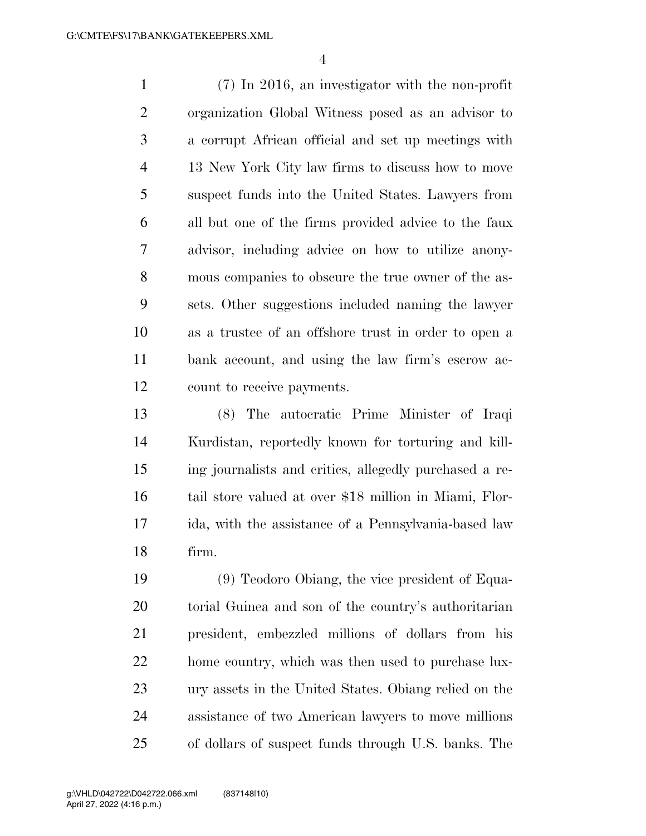(7) In 2016, an investigator with the non-profit organization Global Witness posed as an advisor to a corrupt African official and set up meetings with 13 New York City law firms to discuss how to move suspect funds into the United States. Lawyers from all but one of the firms provided advice to the faux advisor, including advice on how to utilize anony- mous companies to obscure the true owner of the as- sets. Other suggestions included naming the lawyer as a trustee of an offshore trust in order to open a bank account, and using the law firm's escrow ac-count to receive payments.

 (8) The autocratic Prime Minister of Iraqi Kurdistan, reportedly known for torturing and kill- ing journalists and critics, allegedly purchased a re- tail store valued at over \$18 million in Miami, Flor- ida, with the assistance of a Pennsylvania-based law firm.

 (9) Teodoro Obiang, the vice president of Equa- torial Guinea and son of the country's authoritarian president, embezzled millions of dollars from his home country, which was then used to purchase lux- ury assets in the United States. Obiang relied on the assistance of two American lawyers to move millions of dollars of suspect funds through U.S. banks. The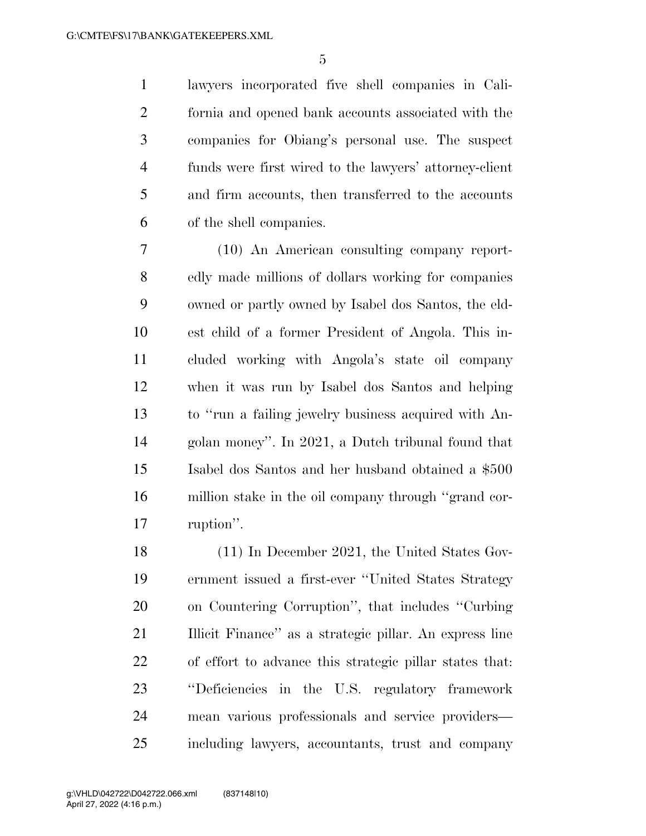lawyers incorporated five shell companies in Cali- fornia and opened bank accounts associated with the companies for Obiang's personal use. The suspect funds were first wired to the lawyers' attorney-client and firm accounts, then transferred to the accounts of the shell companies.

 (10) An American consulting company report- edly made millions of dollars working for companies owned or partly owned by Isabel dos Santos, the eld- est child of a former President of Angola. This in- cluded working with Angola's state oil company when it was run by Isabel dos Santos and helping to ''run a failing jewelry business acquired with An- golan money''. In 2021, a Dutch tribunal found that Isabel dos Santos and her husband obtained a \$500 million stake in the oil company through ''grand cor-ruption''.

 (11) In December 2021, the United States Gov- ernment issued a first-ever ''United States Strategy on Countering Corruption'', that includes ''Curbing Illicit Finance'' as a strategic pillar. An express line of effort to advance this strategic pillar states that: ''Deficiencies in the U.S. regulatory framework mean various professionals and service providers— including lawyers, accountants, trust and company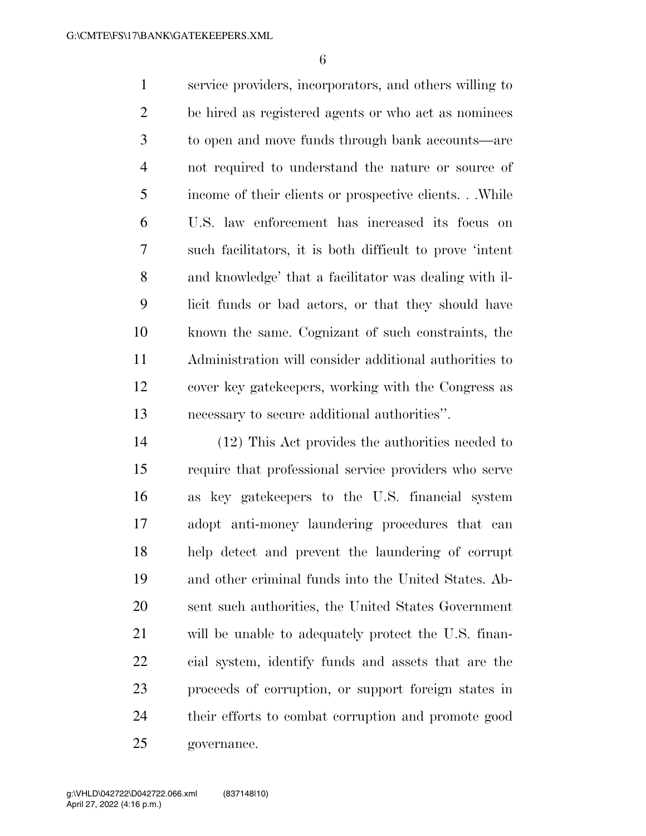service providers, incorporators, and others willing to be hired as registered agents or who act as nominees to open and move funds through bank accounts—are not required to understand the nature or source of income of their clients or prospective clients. . .While U.S. law enforcement has increased its focus on such facilitators, it is both difficult to prove 'intent and knowledge' that a facilitator was dealing with il- licit funds or bad actors, or that they should have known the same. Cognizant of such constraints, the Administration will consider additional authorities to cover key gatekeepers, working with the Congress as necessary to secure additional authorities''.

 (12) This Act provides the authorities needed to require that professional service providers who serve as key gatekeepers to the U.S. financial system adopt anti-money laundering procedures that can help detect and prevent the laundering of corrupt and other criminal funds into the United States. Ab- sent such authorities, the United States Government will be unable to adequately protect the U.S. finan- cial system, identify funds and assets that are the proceeds of corruption, or support foreign states in their efforts to combat corruption and promote good governance.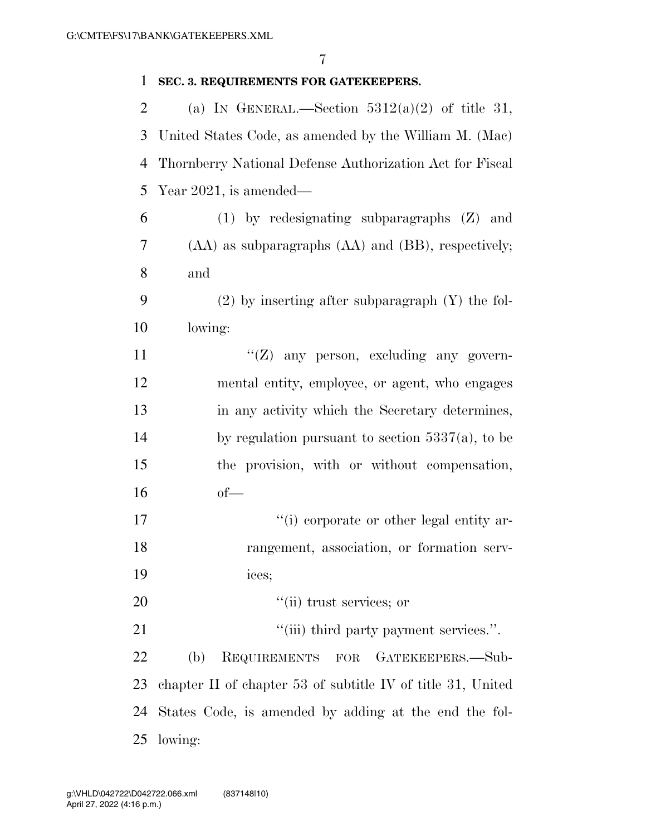| 1              | SEC. 3. REQUIREMENTS FOR GATEKEEPERS.                       |
|----------------|-------------------------------------------------------------|
| $\overline{2}$ | (a) IN GENERAL.—Section $5312(a)(2)$ of title 31,           |
| 3              | United States Code, as amended by the William M. (Mac)      |
| 4              | Thornberry National Defense Authorization Act for Fiscal    |
| 5              | Year $2021$ , is amended—                                   |
| 6              | $(1)$ by redesignating subparagraphs $(Z)$ and              |
| 7              | (AA) as subparagraphs (AA) and (BB), respectively;          |
| 8              | and                                                         |
| 9              | $(2)$ by inserting after subparagraph $(Y)$ the fol-        |
| 10             | lowing:                                                     |
| 11             | " $(Z)$ any person, excluding any govern-                   |
| 12             | mental entity, employee, or agent, who engages              |
| 13             | in any activity which the Secretary determines,             |
| 14             | by regulation pursuant to section $5337(a)$ , to be         |
| 15             | the provision, with or without compensation,                |
| 16             | $of$ —                                                      |
| 17             | "(i) corporate or other legal entity ar-                    |
| 18             | rangement, association, or formation serv-                  |
| 19             | ices;                                                       |
| 20             | "(ii) trust services; or                                    |
| 21             | "(iii) third party payment services.".                      |
| 22             | (b)<br>REQUIREMENTS FOR<br>GATEKEEPERS.-Sub-                |
| 23             | chapter II of chapter 53 of subtitle IV of title 31, United |
| 24             | States Code, is amended by adding at the end the fol-       |
| 25             | lowing:                                                     |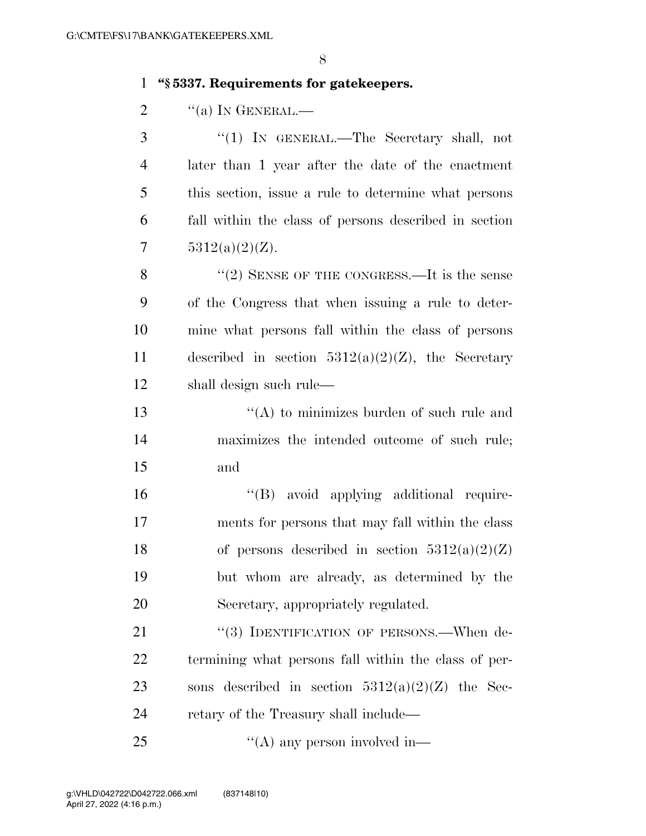## 1 **''§ 5337. Requirements for gatekeepers.**

2  $\frac{1}{2}$   $\frac{1}{2}$   $\frac{1}{2}$   $\frac{1}{2}$   $\frac{1}{2}$   $\frac{1}{2}$   $\frac{1}{2}$   $\frac{1}{2}$   $\frac{1}{2}$   $\frac{1}{2}$   $\frac{1}{2}$   $\frac{1}{2}$   $\frac{1}{2}$   $\frac{1}{2}$   $\frac{1}{2}$   $\frac{1}{2}$   $\frac{1}{2}$   $\frac{1}{2}$   $\frac{1}{2}$   $\frac{1}{2}$   $\frac{1}{2}$   $\frac{1}{2}$ 

 ''(1) IN GENERAL.—The Secretary shall, not later than 1 year after the date of the enactment this section, issue a rule to determine what persons fall within the class of persons described in section  $5312(a)(2)(Z)$ .

8 "(2) SENSE OF THE CONGRESS.—It is the sense 9 of the Congress that when issuing a rule to deter-10 mine what persons fall within the class of persons 11 described in section  $5312(a)(2)(Z)$ , the Secretary 12 shall design such rule—

13  $\langle (A)$  to minimizes burden of such rule and 14 maximizes the intended outcome of such rule; 15 and

 ''(B) avoid applying additional require- ments for persons that may fall within the class 18 of persons described in section  $5312(a)(2)(Z)$  but whom are already, as determined by the Secretary, appropriately regulated.

21 "(3) IDENTIFICATION OF PERSONS.—When de-22 termining what persons fall within the class of per-23 sons described in section  $5312(a)(2)(Z)$  the Sec-24 retary of the Treasury shall include—

25  $\frac{1}{(A)}$  any person involved in—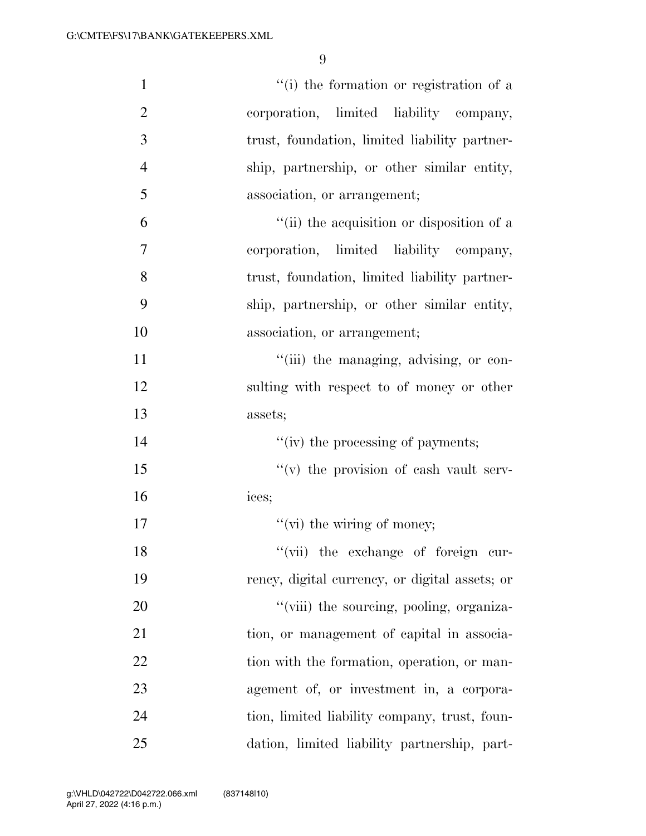| $\mathbf{1}$   | "(i) the formation or registration of a        |
|----------------|------------------------------------------------|
| $\overline{2}$ | corporation, limited liability company,        |
| 3              | trust, foundation, limited liability partner-  |
| $\overline{4}$ | ship, partnership, or other similar entity,    |
| 5              | association, or arrangement;                   |
| 6              | "(ii) the acquisition or disposition of a      |
| 7              | corporation, limited liability company,        |
| 8              | trust, foundation, limited liability partner-  |
| 9              | ship, partnership, or other similar entity,    |
| 10             | association, or arrangement;                   |
| 11             | "(iii) the managing, advising, or con-         |
| 12             | sulting with respect to of money or other      |
| 13             | assets;                                        |
| 14             | "(iv) the processing of payments;              |
| 15             | $f'(v)$ the provision of eash vault serv-      |
| 16             | ices;                                          |
| 17             | $f'(vi)$ the wiring of money;                  |
| 18             | "(vii) the exchange of foreign cur-            |
| 19             | rency, digital currency, or digital assets; or |
| 20             | "(viii) the sourcing, pooling, organiza-       |
| 21             | tion, or management of capital in associa-     |
| 22             | tion with the formation, operation, or man-    |
| 23             | agement of, or investment in, a corpora-       |
| 24             | tion, limited liability company, trust, foun-  |
| 25             | dation, limited liability partnership, part-   |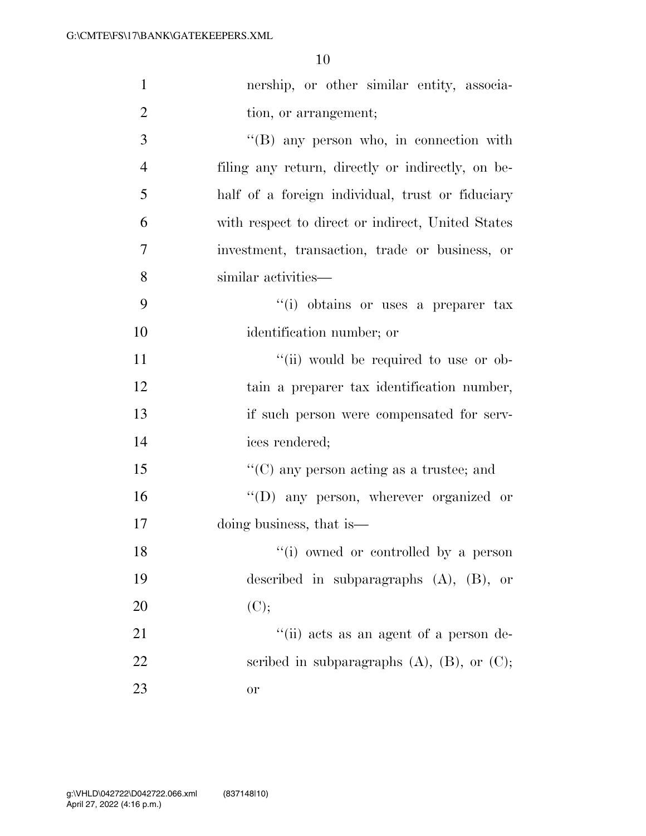| $\mathbf{1}$   | nership, or other similar entity, associa-          |
|----------------|-----------------------------------------------------|
| $\overline{2}$ | tion, or arrangement;                               |
| 3              | $\lq\lq (B)$ any person who, in connection with     |
| $\overline{4}$ | filing any return, directly or indirectly, on be-   |
| 5              | half of a foreign individual, trust or fiduciary    |
| 6              | with respect to direct or indirect, United States   |
| $\overline{7}$ | investment, transaction, trade or business, or      |
| 8              | similar activities—                                 |
| 9              | "(i) obtains or uses a preparer tax                 |
| 10             | identification number; or                           |
| 11             | "(ii) would be required to use or ob-               |
| 12             | tain a preparer tax identification number,          |
| 13             | if such person were compensated for serv-           |
| 14             | ices rendered;                                      |
| 15             | $\lq\lq$ (C) any person acting as a trustee; and    |
| 16             | "(D) any person, wherever organized or              |
| 17             | doing business, that is—                            |
| 18             | "(i) owned or controlled by a person                |
| 19             | described in subparagraphs $(A)$ , $(B)$ , or       |
| 20             | (C);                                                |
| 21             | "(ii) acts as an agent of a person de-              |
| 22             | scribed in subparagraphs $(A)$ , $(B)$ , or $(C)$ ; |
| 23             | or                                                  |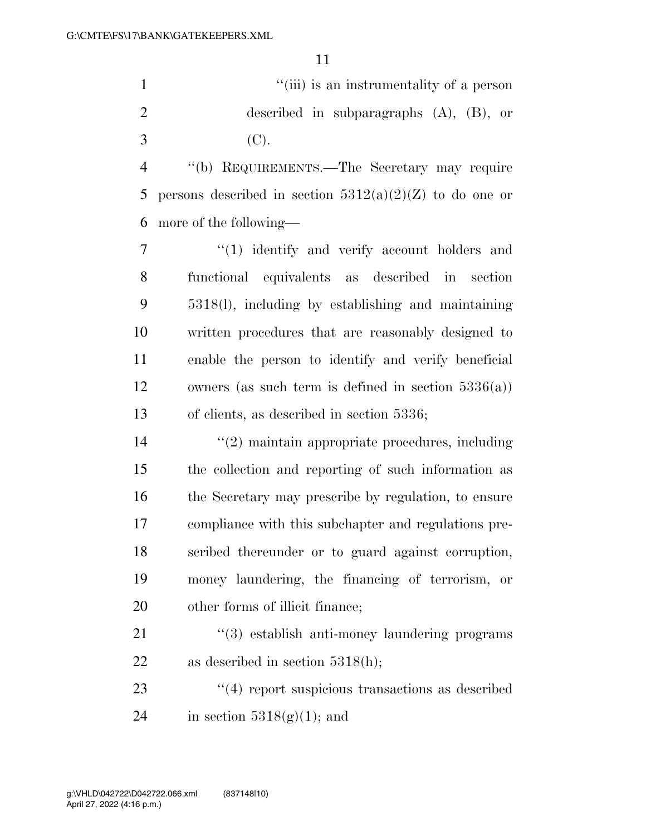''(iii) is an instrumentality of a person described in subparagraphs (A), (B), or (C).

 ''(b) REQUIREMENTS.—The Secretary may require 5 persons described in section  $5312(a)(2)(Z)$  to do one or more of the following—

 $\frac{1}{1}$  identify and verify account holders and functional equivalents as described in section 5318(l), including by establishing and maintaining written procedures that are reasonably designed to enable the person to identify and verify beneficial owners (as such term is defined in section 5336(a)) of clients, as described in section 5336;

 ''(2) maintain appropriate procedures, including the collection and reporting of such information as the Secretary may prescribe by regulation, to ensure compliance with this subchapter and regulations pre- scribed thereunder or to guard against corruption, money laundering, the financing of terrorism, or other forms of illicit finance;

21 ''(3) establish anti-money laundering programs 22 as described in section 5318(h);

23 ''(4) report suspicious transactions as described 24 in section  $5318(g)(1)$ ; and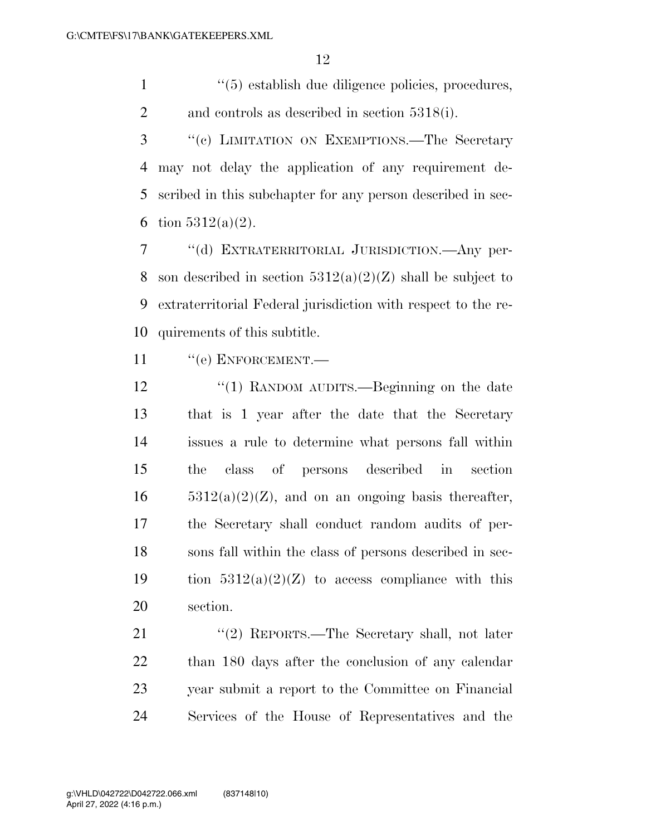1 ''(5) establish due diligence policies, procedures, and controls as described in section 5318(i).

 ''(c) LIMITATION ON EXEMPTIONS.—The Secretary may not delay the application of any requirement de- scribed in this subchapter for any person described in sec-6 tion  $5312(a)(2)$ .

 ''(d) EXTRATERRITORIAL JURISDICTION.—Any per-8 son described in section  $5312(a)(2)(Z)$  shall be subject to extraterritorial Federal jurisdiction with respect to the re-quirements of this subtitle.

11 "(e) ENFORCEMENT.—

12 "(1) RANDOM AUDITS.—Beginning on the date that is 1 year after the date that the Secretary issues a rule to determine what persons fall within the class of persons described in section  $5312(a)(2)(Z)$ , and on an ongoing basis thereafter, the Secretary shall conduct random audits of per- sons fall within the class of persons described in sec-19 tion  $5312(a)(2)(Z)$  to access compliance with this section.

21 ''(2) REPORTS.—The Secretary shall, not later than 180 days after the conclusion of any calendar year submit a report to the Committee on Financial Services of the House of Representatives and the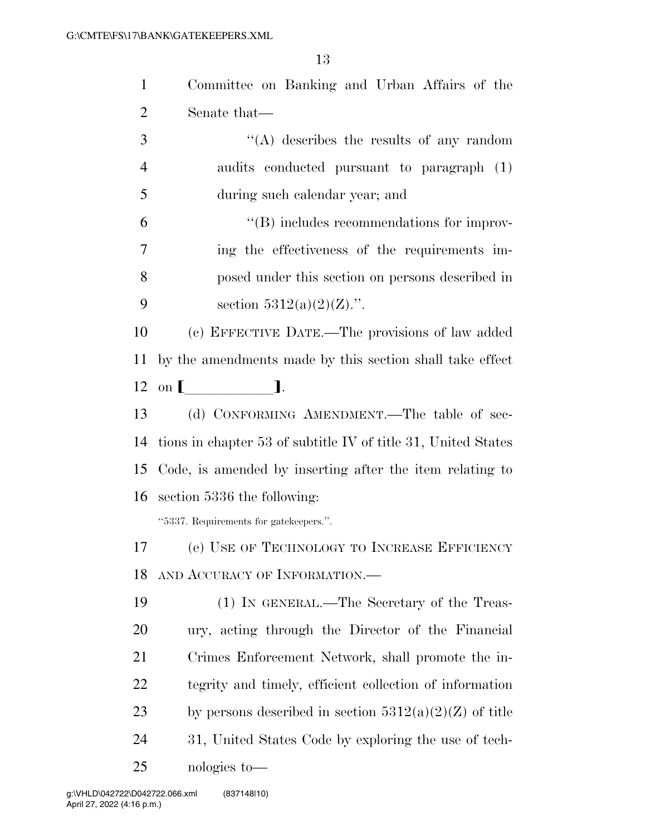| $\mathbf{1}$   | Committee on Banking and Urban Affairs of the                 |
|----------------|---------------------------------------------------------------|
| $\overline{2}$ | Senate that—                                                  |
| 3              | $\lq\lq$ describes the results of any random                  |
| $\overline{4}$ | audits conducted pursuant to paragraph (1)                    |
| 5              | during such calendar year; and                                |
| 6              | $\lq\lq$ includes recommendations for improv-                 |
| 7              | ing the effectiveness of the requirements im-                 |
| 8              | posed under this section on persons described in              |
| 9              | section $5312(a)(2)(Z)$ .".                                   |
| 10             | (c) EFFECTIVE DATE.—The provisions of law added               |
| <sup>11</sup>  | by the amendments made by this section shall take effect      |
| 12             | on [ ].                                                       |
| 13             | (d) CONFORMING AMENDMENT.—The table of sec-                   |
| 14             | tions in chapter 53 of subtitle IV of title 31, United States |
| 15             | Code, is amended by inserting after the item relating to      |
|                |                                                               |
| 16             | section 5336 the following:                                   |
|                | "5337. Requirements for gatekeepers.".                        |
|                | 17 (e) USE OF TECHNOLOGY TO INCREASE EFFICIENCY               |
| 18             | AND ACCURACY OF INFORMATION.                                  |
| 19             | (1) IN GENERAL.—The Secretary of the Treas-                   |
| 20             | ury, acting through the Director of the Financial             |
| 21             | Crimes Enforcement Network, shall promote the in-             |
| 22             | tegrity and timely, efficient collection of information       |
| 23             | by persons described in section $5312(a)(2)(Z)$ of title      |
| 24             | 31, United States Code by exploring the use of tech-          |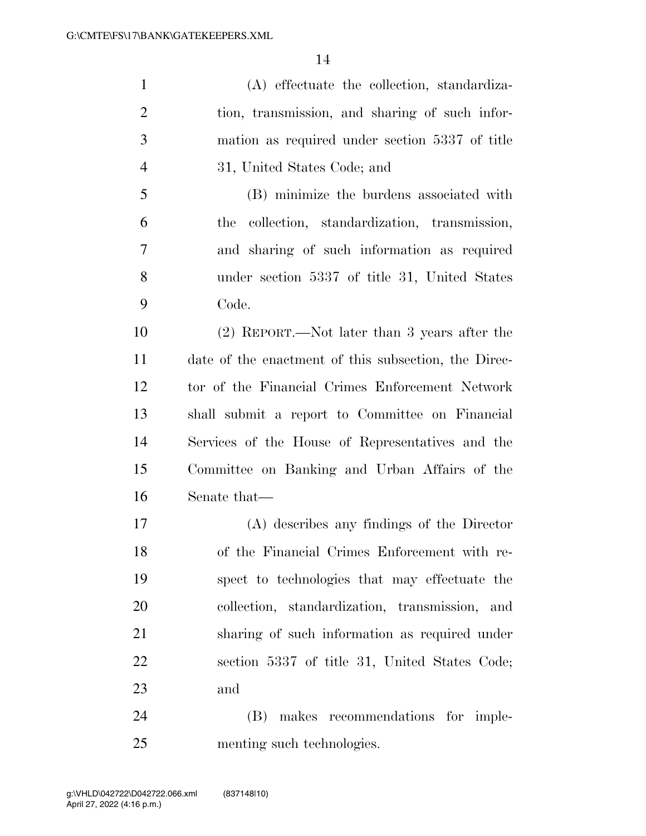(A) effectuate the collection, standardiza- tion, transmission, and sharing of such infor- mation as required under section 5337 of title 31, United States Code; and (B) minimize the burdens associated with

 the collection, standardization, transmission, and sharing of such information as required under section 5337 of title 31, United States Code.

 (2) REPORT.—Not later than 3 years after the date of the enactment of this subsection, the Direc- tor of the Financial Crimes Enforcement Network shall submit a report to Committee on Financial Services of the House of Representatives and the Committee on Banking and Urban Affairs of the Senate that—

 (A) describes any findings of the Director of the Financial Crimes Enforcement with re- spect to technologies that may effectuate the collection, standardization, transmission, and sharing of such information as required under section 5337 of title 31, United States Code; and

 (B) makes recommendations for imple-menting such technologies.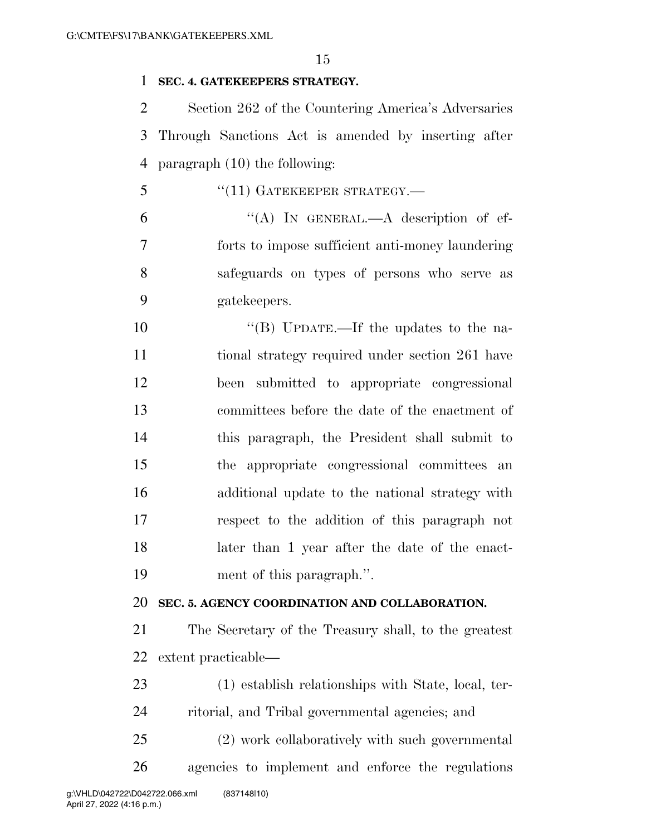#### **SEC. 4. GATEKEEPERS STRATEGY.**

 Section 262 of the Countering America's Adversaries Through Sanctions Act is amended by inserting after paragraph (10) the following:

5 "(11) GATEKEEPER STRATEGY.— "(A) In GENERAL.—A description of ef- forts to impose sufficient anti-money laundering safeguards on types of persons who serve as gatekeepers.

 $\text{``(B)}$  UPDATE.—If the updates to the na- tional strategy required under section 261 have been submitted to appropriate congressional committees before the date of the enactment of this paragraph, the President shall submit to the appropriate congressional committees an additional update to the national strategy with respect to the addition of this paragraph not later than 1 year after the date of the enact-ment of this paragraph.''.

### **SEC. 5. AGENCY COORDINATION AND COLLABORATION.**

 The Secretary of the Treasury shall, to the greatest extent practicable—

 (1) establish relationships with State, local, ter-ritorial, and Tribal governmental agencies; and

 (2) work collaboratively with such governmental agencies to implement and enforce the regulations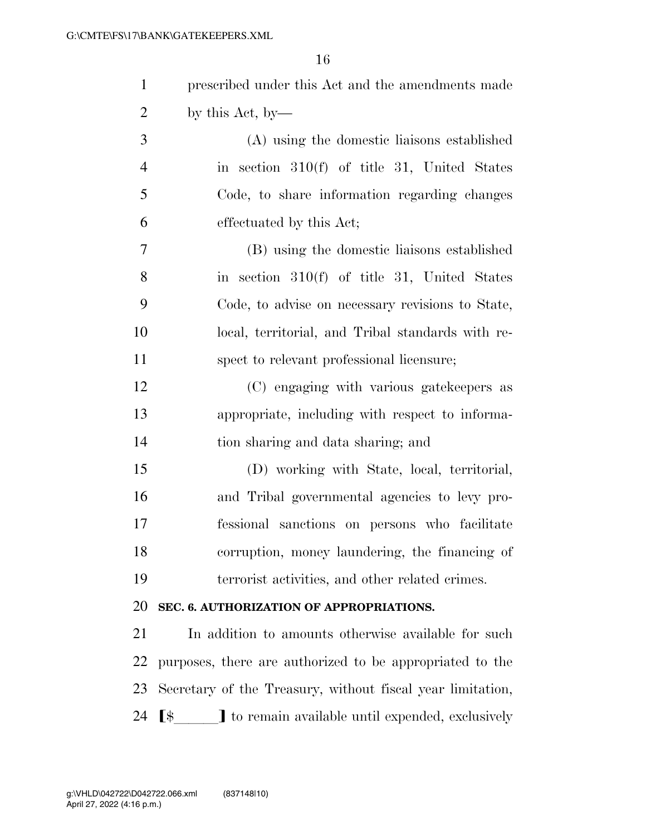| $\mathbf{1}$   | prescribed under this Act and the amendments made            |
|----------------|--------------------------------------------------------------|
| $\overline{2}$ | by this Act, by-                                             |
| 3              | (A) using the domestic liaisons established                  |
| $\overline{4}$ | in section 310(f) of title 31, United States                 |
| 5              | Code, to share information regarding changes                 |
| 6              | effectuated by this Act;                                     |
| $\overline{7}$ | (B) using the domestic liaisons established                  |
| 8              | in section $310(f)$ of title 31, United States               |
| 9              | Code, to advise on necessary revisions to State,             |
| 10             | local, territorial, and Tribal standards with re-            |
| 11             | spect to relevant professional licensure;                    |
| 12             | (C) engaging with various gatekeepers as                     |
| 13             | appropriate, including with respect to informa-              |
| 14             | tion sharing and data sharing; and                           |
| 15             | (D) working with State, local, territorial,                  |
| 16             | and Tribal governmental agencies to levy pro-                |
| 17             | fessional sanctions on persons who facilitate                |
| 18             | corruption, money laundering, the financing of               |
| 19             | terrorist activities, and other related crimes.              |
| 20             | SEC. 6. AUTHORIZATION OF APPROPRIATIONS.                     |
| 21             | In addition to amounts otherwise available for such          |
| 22             | purposes, there are authorized to be appropriated to the     |
| 23             | Secretary of the Treasury, without fiscal year limitation,   |
| 24             | <b>[\$ ]</b> to remain available until expended, exclusively |
|                |                                                              |